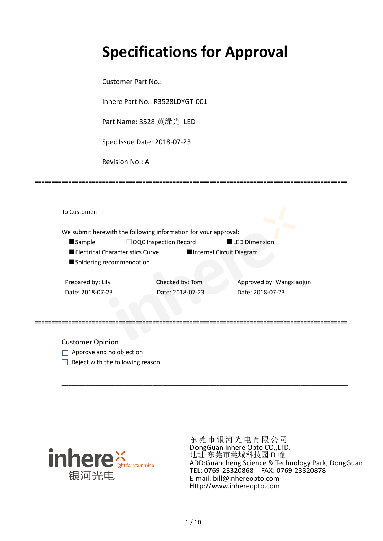# **Specifications for Approval**

Customer Part No.:

Inhere Part No.: R3528LDYGT-001

Part Name: 3528 黄绿光 LED

Spec Issue Date: 2018-07-23

Revision No.: A

|                          |                                  | We submit herewith the following information for your approval: |                          |
|--------------------------|----------------------------------|-----------------------------------------------------------------|--------------------------|
| <b>Sample</b>            |                                  | □OQC Inspection Record                                          | <b>LED Dimension</b>     |
|                          | Electrical Characteristics Curve |                                                                 | Internal Circuit Diagram |
| Soldering recommendation |                                  |                                                                 |                          |
|                          |                                  |                                                                 |                          |
| Prepared by: Lily        |                                  | Checked by: Tom                                                 | Approved by: Wangxiaojun |
| Date: 2018-07-23         |                                  | Date: 2018-07-23                                                | Date: 2018-07-23         |
|                          |                                  |                                                                 |                          |
|                          |                                  |                                                                 |                          |

\_\_\_\_\_\_\_\_\_\_\_\_\_\_\_\_\_\_\_\_\_\_\_\_\_\_\_\_\_\_\_\_\_\_\_\_\_\_\_\_\_\_\_\_\_\_\_\_\_\_\_\_\_\_\_\_\_\_\_\_\_\_\_\_\_\_\_\_\_\_\_\_\_\_\_\_\_\_\_\_\_\_\_\_\_

=============================================================================================

Customer Opinion

- Approve and no objection
- $\Box$  Reject with the following reason:



东莞市银河光电有限公司 DongGuan Inhere Opto CO.,LTD. 地址:东莞市莞城科技园 D 幢 ADD:Guancheng Science & Technology Park, DongGuan TEL: 0769-23320868 FAX: 0769-23320878 E-mail: bill@inhereopto.com Http://www.inhereopto.com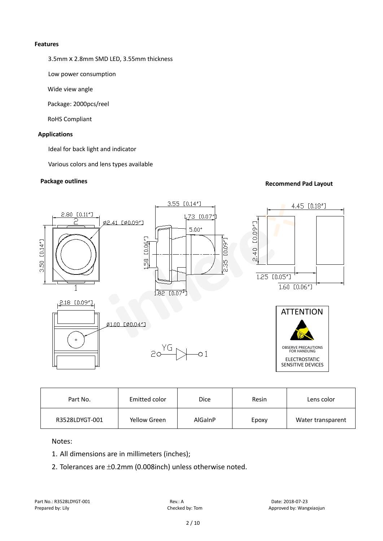#### **Features**

3.5mmⅹ2.8mm SMD LED, 3.55mm thickness

Low power consumption

Wide view angle

Package: 2000pcs/reel

RoHS Compliant

#### **Applications**

Ideal for back light and indicator

Various colors and lens types available

## **Package outlines Recommend Pad Layout Recommend Pad Layout**



| Part No.       | Emitted color | <b>Dice</b> | Resin | Lens color        |
|----------------|---------------|-------------|-------|-------------------|
| R3528LDYGT-001 | Yellow Green  | AlGaInP     | Epoxy | Water transparent |

Notes:

- 1. All dimensions are in millimeters (inches);
- 2. Tolerances are ±0.2mm (0.008inch) unless otherwise noted.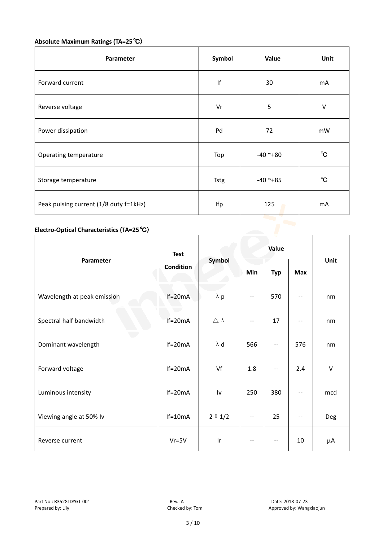# **Absolute Maximum Ratings (TA=25**℃)

| Parameter                              | Symbol      | Value      | Unit         |
|----------------------------------------|-------------|------------|--------------|
| Forward current                        | If          | 30         | mA           |
| Reverse voltage                        | Vr          | 5          | V            |
| Power dissipation                      | Pd          | 72         | mW           |
| Operating temperature                  | Top         | $-40$ ~+80 | $^{\circ}$ C |
| Storage temperature                    | <b>Tstg</b> | $-40$ ~+85 | $^{\circ}$ C |
| Peak pulsing current (1/8 duty f=1kHz) | Ifp         | 125        | mA           |

### **Electro-Optical Characteristics (TA=25**℃)

|                             | <b>Test</b><br><b>Condition</b> | Symbol              | Value                    |                          |                          |        |
|-----------------------------|---------------------------------|---------------------|--------------------------|--------------------------|--------------------------|--------|
| Parameter                   |                                 |                     | Min                      | <b>Typ</b>               | Max                      | Unit   |
| Wavelength at peak emission | $If=20mA$                       | $\lambda$ p         | $\overline{\phantom{m}}$ | 570                      |                          | nm     |
| Spectral half bandwidth     | $If=20mA$                       | $\triangle \lambda$ | $\overline{\phantom{m}}$ | 17                       | $\overline{\phantom{a}}$ | nm     |
| Dominant wavelength         | $If=20mA$                       | $\lambda$ d         | 566                      | $\overline{\phantom{a}}$ | 576                      | nm     |
| Forward voltage             | $If=20mA$                       | Vf                  | 1.8                      | $\qquad \qquad -$        | 2.4                      | $\vee$ |
| Luminous intensity          | $If=20mA$                       | I٧                  | 250                      | 380                      | $\overline{\phantom{a}}$ | mcd    |
| Viewing angle at 50% lv     | $If=10mA$                       | $2 \theta 1/2$      | --                       | 25                       | $-$                      | Deg    |
| Reverse current             | $Vr = 5V$                       | Ir                  | $-\,-$                   | $\overline{\phantom{m}}$ | 10                       | μA     |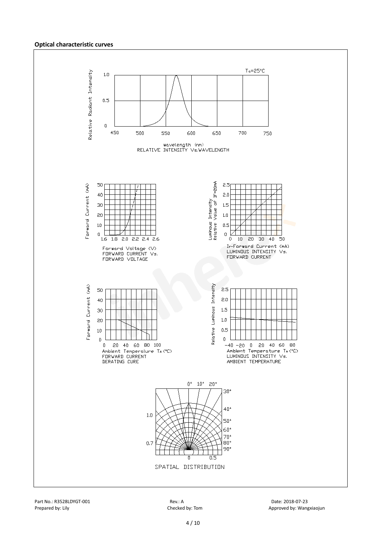#### **Optical characteristic curves**

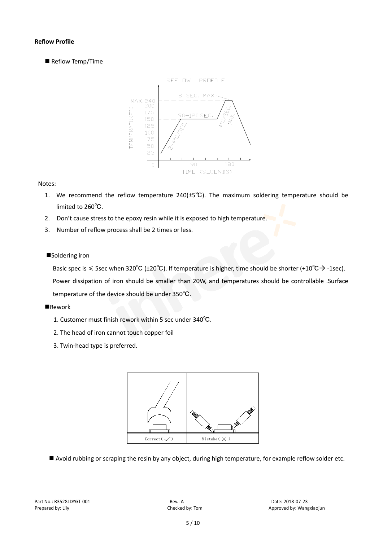#### **Reflow Profile**

Reflow Temp/Time



#### Notes:

- 1. We recommend the reflow temperature 240(±5℃). The maximum soldering temperature should be limited to 260℃.
- 2. Don't cause stress to the epoxy resin while it is exposed to high temperature.
- 3. Number of reflow process shall be 2 times or less.

#### ■Soldering iron

Basic spec is  $\leq$  5sec when 320°C (±20°C). If temperature is higher, time should be shorter (+10°C $\rightarrow$ -1sec). Power dissipation of iron should be smaller than 20W, and temperatures should be controllable .Surface temperature of the device should be under 350℃.

#### **Rework**

- 1. Customer must finish rework within 5 sec under 340℃.
- 2. The head of iron cannot touch copper foil
- 3. Twin-head type is preferred.



■ Avoid rubbing or scraping the resin by any object, during high temperature, for example reflow solder etc.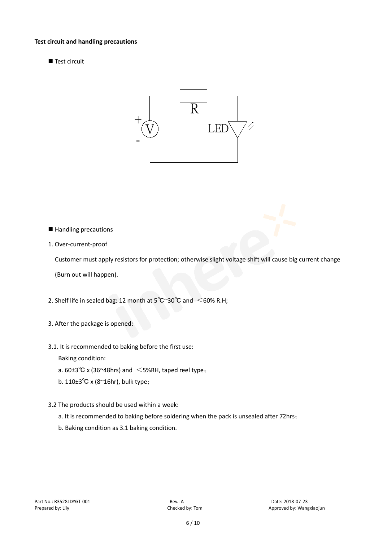#### **Test circuit and handling precautions**

Test circuit



- Handling precautions
- 1. Over-current-proof

Customer must apply resistors for protection; otherwise slight voltage shift will cause big current change

(Burn out will happen).

- 2. Shelf life in sealed bag: 12 month at  $5^{\circ}$ C $^{\circ}$ 30 $^{\circ}$ C and  $\leq$  60% R.H;
- 3. After the package is opened:
- 3.1. It is recommended to baking before the first use:

Baking condition:

- a.  $60±3^{\circ}C$  x (36~48hrs) and  $\leq$  5%RH, taped reel type;
- b. 110±3℃ x (8~16hr), bulk type;
- 3.2 The products should be used within a week:
	- a. It is recommended to baking before soldering when the pack is unsealed after 72hrs;
	- b. Baking condition as 3.1 baking condition.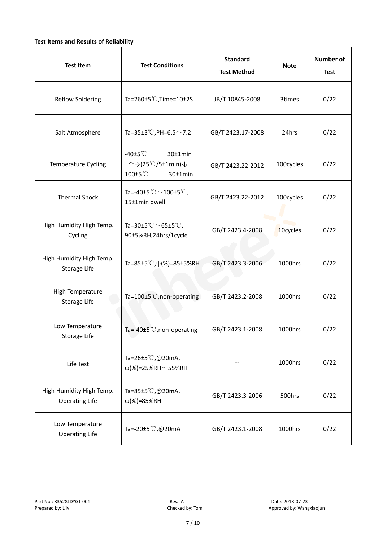#### **Test Items and Results of Reliability**

| <b>Test Item</b>                                  | <b>Test Conditions</b>                                                         | <b>Standard</b><br><b>Test Method</b> | <b>Note</b> | <b>Number of</b><br><b>Test</b> |
|---------------------------------------------------|--------------------------------------------------------------------------------|---------------------------------------|-------------|---------------------------------|
| <b>Reflow Soldering</b>                           | Ta=260 $\pm$ 5 °C, Time=10 $\pm$ 2S                                            | JB/T 10845-2008                       | 3times      | 0/22                            |
| Salt Atmosphere                                   | Ta=35±3°C, PH=6.5 $\sim$ 7.2                                                   | GB/T 2423.17-2008                     | 24hrs       | 0/22                            |
| Temperature Cycling                               | -40 $±5^{\circ}$ C<br>$30±1$ min<br>个→(25℃/5±1min)↓<br>100±5°C<br>$30±1$ min   | GB/T 2423.22-2012                     | 100cycles   | 0/22                            |
| <b>Thermal Shock</b>                              | Ta=-40±5 $\degree \text{C}$ $\sim$ 100±5 $\degree \text{C}$ ,<br>15±1min dwell | GB/T 2423.22-2012                     | 100cycles   | 0/22                            |
| High Humidity High Temp.<br>Cycling               | Ta=30±5 °C $\sim$ 65±5 °C,<br>90±5%RH,24hrs/1cycle                             | GB/T 2423.4-2008                      | 10cycles    | 0/22                            |
| High Humidity High Temp.<br>Storage Life          | Ta=85±5 °C, $\psi$ (%)=85±5%RH                                                 | GB/T 2423.3-2006                      | 1000hrs     | 0/22                            |
| High Temperature<br><b>Storage Life</b>           | Ta=100±5°C, non-operating                                                      | GB/T 2423.2-2008                      | 1000hrs     | 0/22                            |
| Low Temperature<br>Storage Life                   | Ta=-40±5℃, non-operating                                                       | GB/T 2423.1-2008                      | 1000hrs     | 0/22                            |
| Life Test                                         | Ta=26±5℃,@20mA,<br>$\psi$ (%)=25%RH~55%RH                                      |                                       | 1000hrs     | 0/22                            |
| High Humidity High Temp.<br><b>Operating Life</b> | Ta=85±5 $\degree$ C, @20mA,<br>$\psi$ (%)=85%RH                                | GB/T 2423.3-2006                      | 500hrs      | 0/22                            |
| Low Temperature<br><b>Operating Life</b>          | Ta=-20±5℃,@20mA                                                                | GB/T 2423.1-2008                      | 1000hrs     | 0/22                            |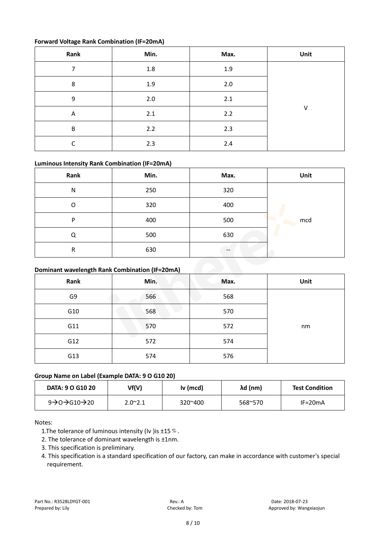#### **Forward Voltage Rank Combination (IF=20mA)**

| Rank | Min.    | Max.  | Unit |
|------|---------|-------|------|
| ⇁    | $1.8\,$ | 1.9   |      |
| 8    | 1.9     | $2.0$ |      |
| 9    | 2.0     | 2.1   |      |
| A    | 2.1     | 2.2   | V    |
| B    | 2.2     | 2.3   |      |
| r    | 2.3     | 2.4   |      |

#### **Luminous Intensity Rank Combination (IF=20mA)**

| Rank                                           | Min. | Max.  | Unit |  |
|------------------------------------------------|------|-------|------|--|
| N                                              | 250  | 320   |      |  |
| O                                              | 320  | 400   |      |  |
| P                                              | 400  | 500   | mcd  |  |
| Q                                              | 500  | 630   |      |  |
| R                                              | 630  | $- -$ |      |  |
| Dominant wavelength Rank Combination (IF=20mA) |      |       |      |  |

#### **Dominant wavelength Rank Combination (IF=20mA)**

| Rank | Min. | Max. | Unit |
|------|------|------|------|
| G9   | 566  | 568  |      |
| G10  | 568  | 570  |      |
| G11  | 570  | 572  | nm   |
| G12  | 572  | 574  |      |
| G13  | 574  | 576  |      |

#### **Group Name on Label (Example DATA: 9 O G10 20)**

| <b>DATA: 9 O G10 20</b>                          | Vf(V)           | Iv (mcd)         | λd (nm) | <b>Test Condition</b> |
|--------------------------------------------------|-----------------|------------------|---------|-----------------------|
| $9 \rightarrow 0 \rightarrow 610 \rightarrow 20$ | $2.0^{\sim}2.1$ | $320^{\circ}400$ | 568~570 | $IF=20mA$             |

#### Notes:

- 1. The tolerance of luminous intensity (Iv ) is  $\pm 15\%$ .
- 2. The tolerance of dominant wavelength is ±1nm.
- 3. This specification is preliminary.
- 4. This specification is a standard specification of our factory, can make in accordance with customer's special requirement.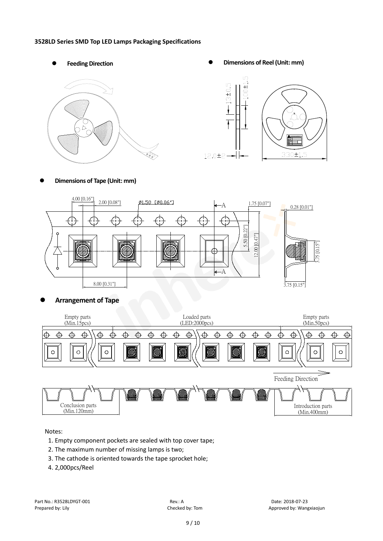#### **3528LD Series SMD Top LED Lamps Packaging Specifications**



Feeding Direction **Constanting Constanting Constanting Constanting Constanting Constanting Constanting Constanting Constanting Constanting Constanting Constanting Constanting Constanting Constanting Constanting Constanting** 



**Dimensions of Tape (Unit: mm)**



#### **Arrangement of Tape**



Notes:

- 1. Empty component pockets are sealed with top cover tape;
- 2. The maximum number of missing lamps is two;
- 3. The cathode is oriented towards the tape sprocket hole;
- 4. 2,000pcs/Reel